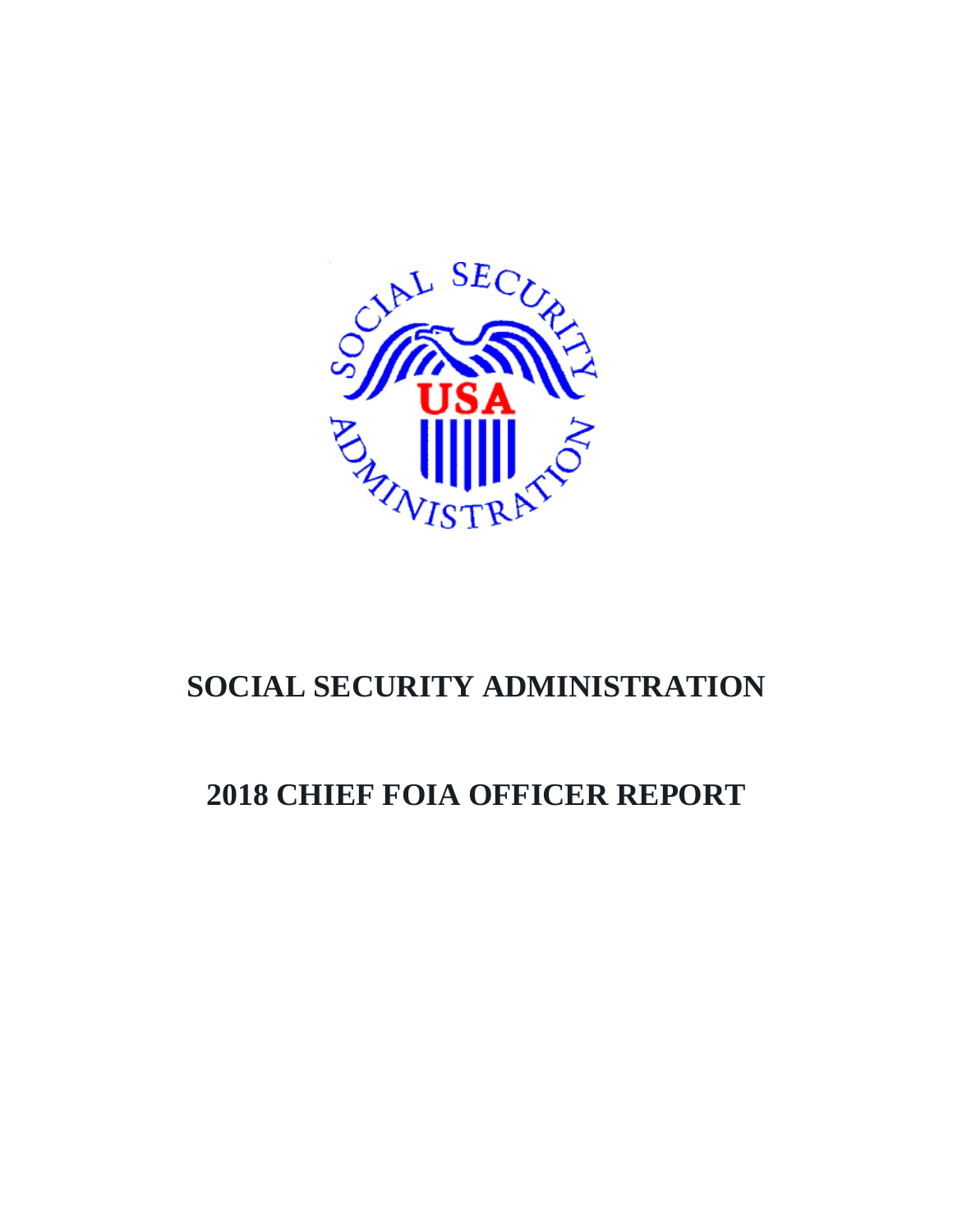

# **SOCIAL SECURITY ADMINISTRATION**

# **2018 CHIEF FOIA OFFICER REPORT**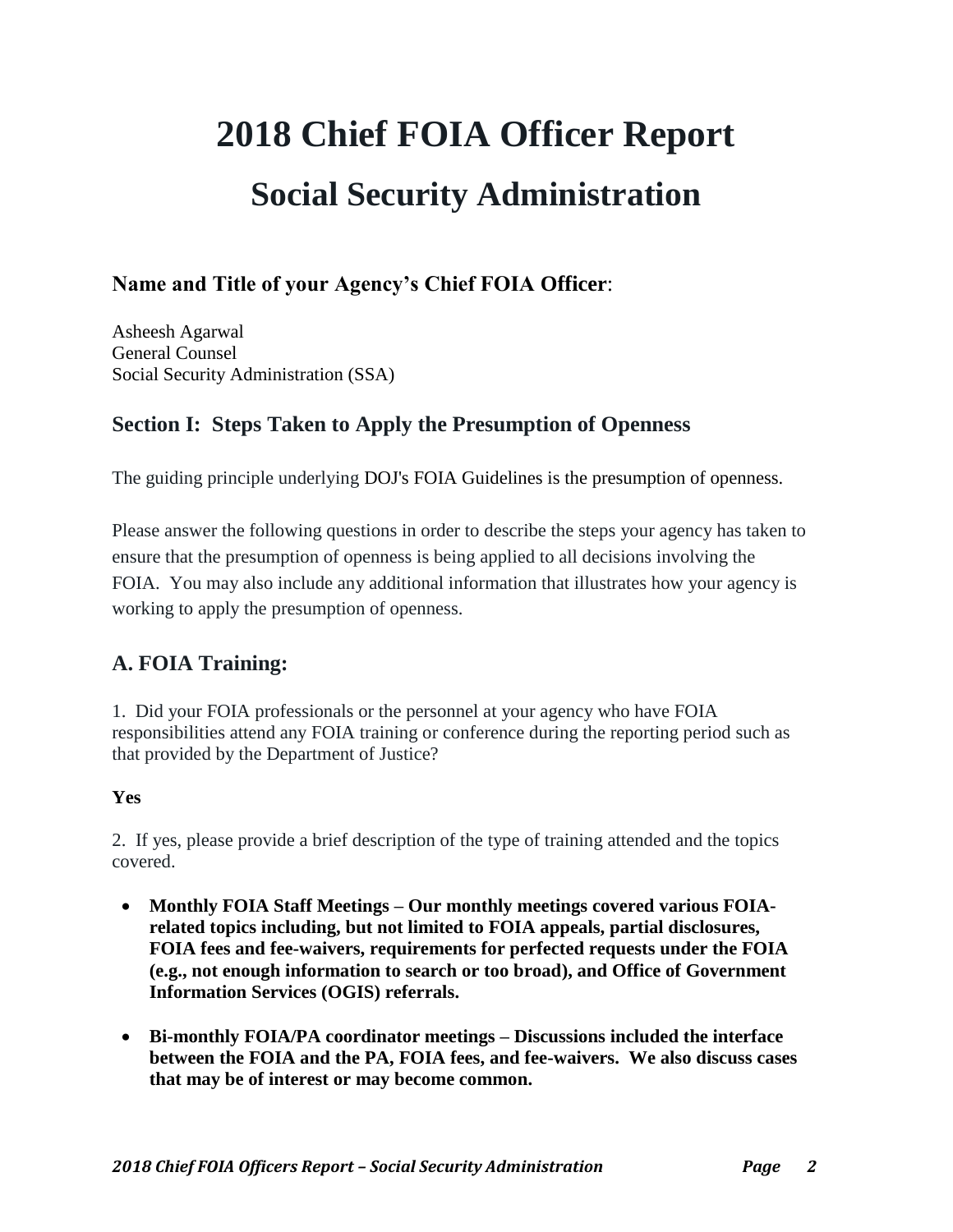# **2018 Chief FOIA Officer Report Social Security Administration**

# **Name and Title of your Agency's Chief FOIA Officer**:

Asheesh Agarwal General Counsel Social Security Administration (SSA)

# **Section I: Steps Taken to Apply the Presumption of Openness**

The guiding principle underlying DOJ's [FOIA Guidelines](http://justice.gov/ag/foia-memo-march2009.pdf) is the presumption of openness.

Please answer the following questions in order to describe the steps your agency has taken to ensure that the presumption of openness is being applied to all decisions involving the FOIA. You may also include any additional information that illustrates how your agency is working to apply the presumption of openness.

# **A. FOIA Training:**

1. Did your FOIA professionals or the personnel at your agency who have FOIA responsibilities attend any FOIA training or conference during the reporting period such as that provided by the Department of Justice?

### **Yes**

2. If yes, please provide a brief description of the type of training attended and the topics covered.

- **Monthly FOIA Staff Meetings – Our monthly meetings covered various FOIArelated topics including, but not limited to FOIA appeals, partial disclosures, FOIA fees and fee-waivers, requirements for perfected requests under the FOIA (e.g., not enough information to search or too broad), and Office of Government Information Services (OGIS) referrals.**
- **Bi-monthly FOIA/PA coordinator meetings – Discussions included the interface between the FOIA and the PA, FOIA fees, and fee-waivers. We also discuss cases that may be of interest or may become common.**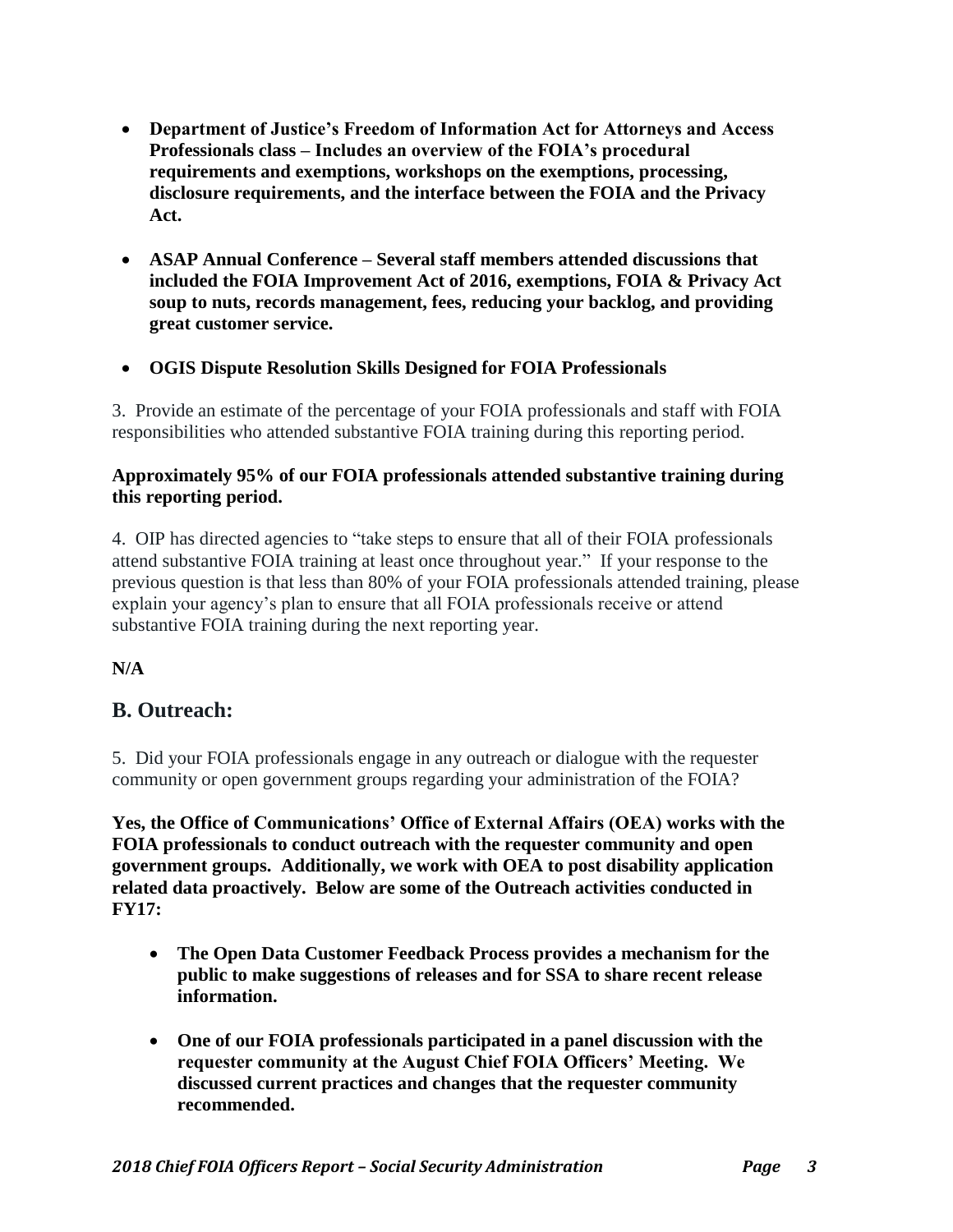- **Department of Justice's Freedom of Information Act for Attorneys and Access Professionals class – Includes an overview of the FOIA's procedural requirements and exemptions, workshops on the exemptions, processing, disclosure requirements, and the interface between the FOIA and the Privacy Act.**
- **ASAP Annual Conference – Several staff members attended discussions that included the FOIA Improvement Act of 2016, exemptions, FOIA & Privacy Act soup to nuts, records management, fees, reducing your backlog, and providing great customer service.**
- **OGIS Dispute Resolution Skills Designed for FOIA Professionals**

3. Provide an estimate of the percentage of your FOIA professionals and staff with FOIA responsibilities who attended substantive FOIA training during this reporting period.

#### **Approximately 95% of our FOIA professionals attended substantive training during this reporting period.**

4. OIP has directed agencies to "take steps to ensure that all of their FOIA professionals attend substantive FOIA training at least once throughout year." If your response to the previous question is that less than 80% of your FOIA professionals attended training, please explain your agency's plan to ensure that all FOIA professionals receive or attend substantive FOIA training during the next reporting year.

**N/A**

# **B. Outreach:**

5. Did your FOIA professionals engage in any outreach or dialogue with the requester community or open government groups regarding your administration of the FOIA?

**Yes, the Office of Communications' Office of External Affairs (OEA) works with the FOIA professionals to conduct outreach with the requester community and open government groups. Additionally, we work with OEA to post disability application related data proactively. Below are some of the Outreach activities conducted in FY17:**

- **The Open Data Customer Feedback Process provides a mechanism for the public to make suggestions of releases and for SSA to share recent release information.**
- **One of our FOIA professionals participated in a panel discussion with the requester community at the August Chief FOIA Officers' Meeting. We discussed current practices and changes that the requester community recommended.**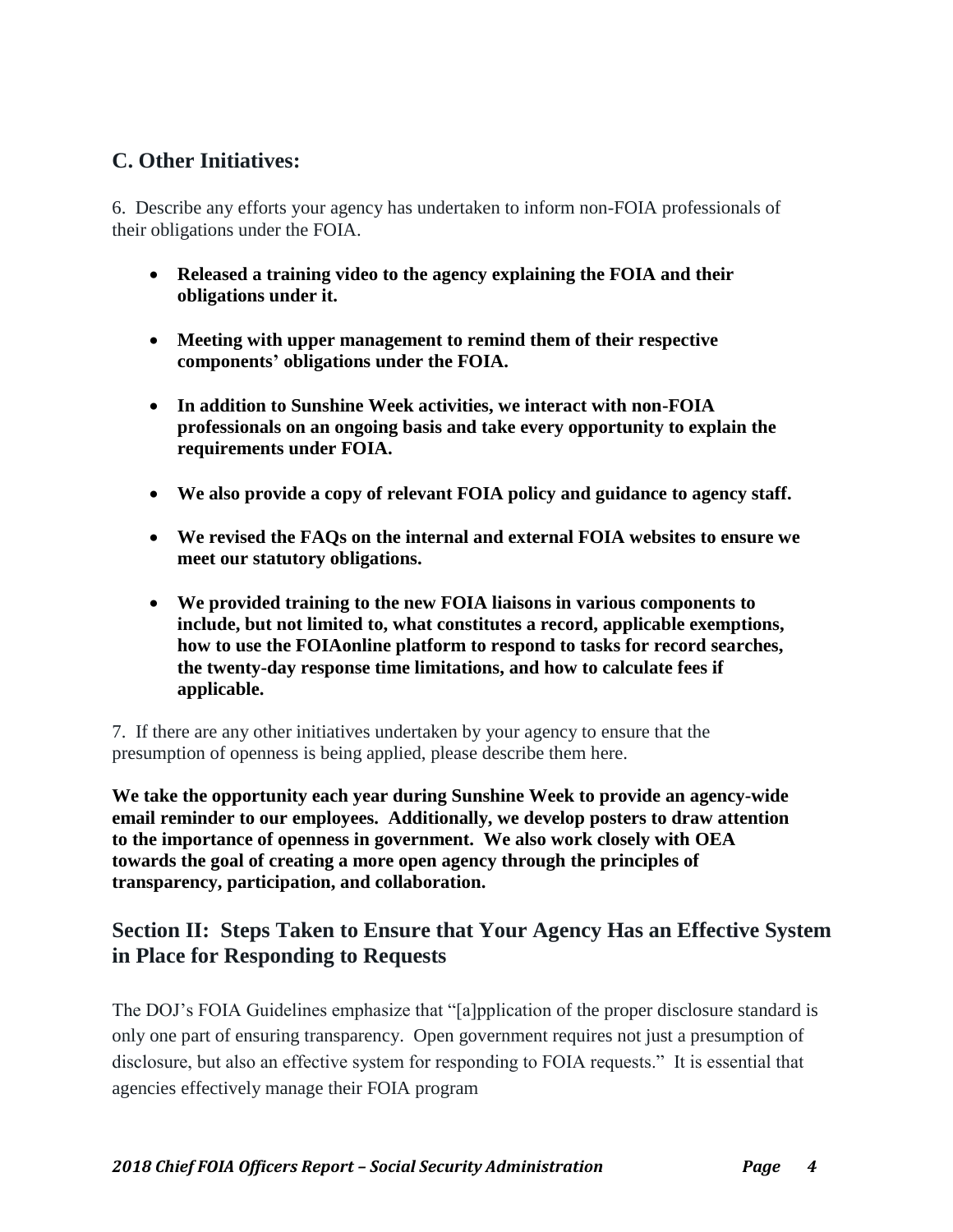# **C. Other Initiatives:**

6. Describe any efforts your agency has undertaken to inform non-FOIA professionals of their obligations under the FOIA.

- **Released a training video to the agency explaining the FOIA and their obligations under it.**
- **Meeting with upper management to remind them of their respective components' obligations under the FOIA.**
- **In addition to Sunshine Week activities, we interact with non-FOIA professionals on an ongoing basis and take every opportunity to explain the requirements under FOIA.**
- **We also provide a copy of relevant FOIA policy and guidance to agency staff.**
- **We revised the FAQs on the internal and external FOIA websites to ensure we meet our statutory obligations.**
- **We provided training to the new FOIA liaisons in various components to include, but not limited to, what constitutes a record, applicable exemptions, how to use the FOIAonline platform to respond to tasks for record searches, the twenty-day response time limitations, and how to calculate fees if applicable.**

7. If there are any other initiatives undertaken by your agency to ensure that the presumption of openness is being applied, please describe them here.

**We take the opportunity each year during Sunshine Week to provide an agency-wide email reminder to our employees. Additionally, we develop posters to draw attention to the importance of openness in government. We also work closely with OEA towards the goal of creating a more open agency through the principles of transparency, participation, and collaboration.**

# **Section II: Steps Taken to Ensure that Your Agency Has an Effective System in Place for Responding to Requests**

The DOJ's FOIA Guidelines emphasize that "[a]pplication of the proper disclosure standard is only one part of ensuring transparency. Open government requires not just a presumption of disclosure, but also an effective system for responding to FOIA requests." It is essential that agencies effectively manage their FOIA program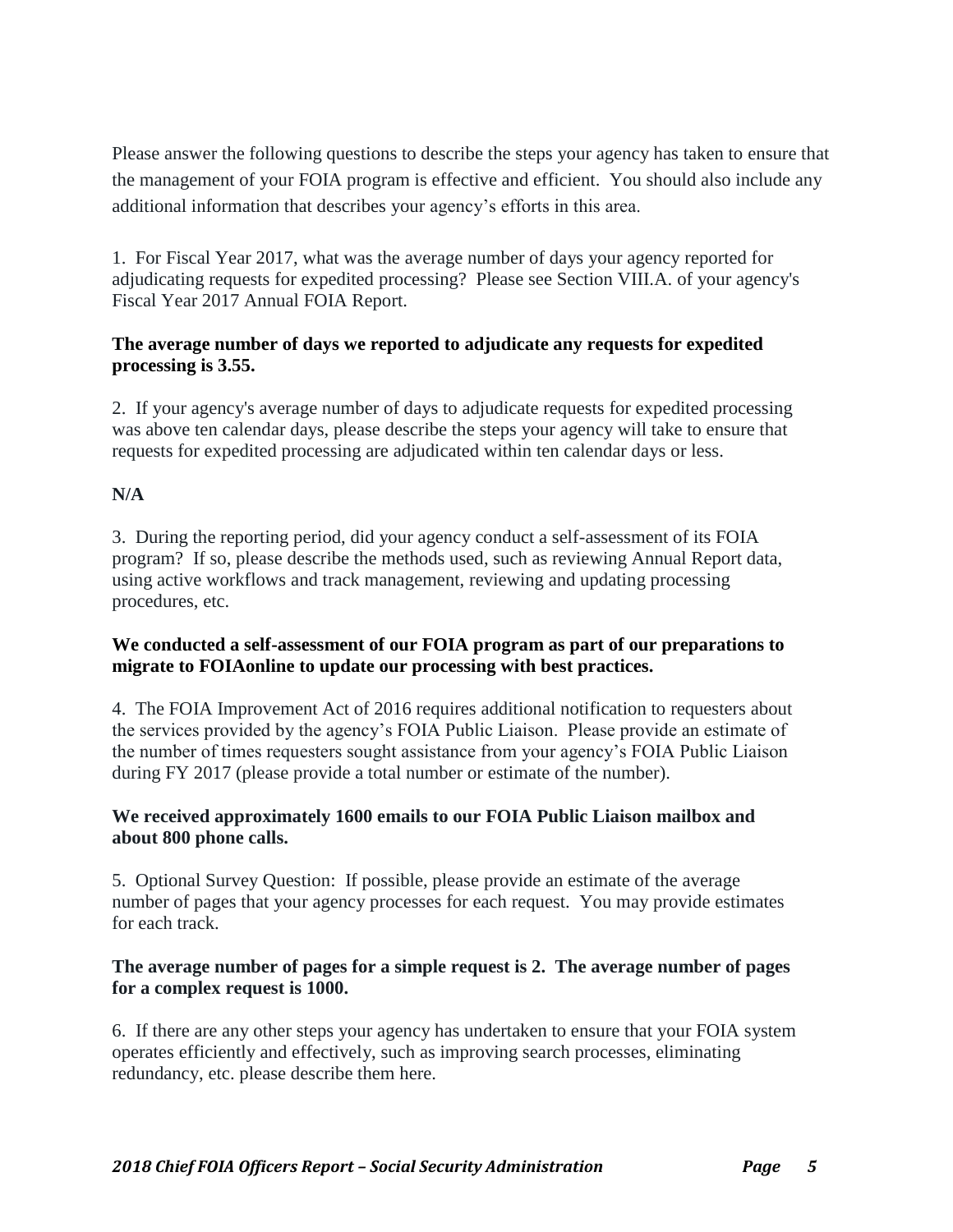Please answer the following questions to describe the steps your agency has taken to ensure that the management of your FOIA program is effective and efficient. You should also include any additional information that describes your agency's efforts in this area.

1. For Fiscal Year 2017, what was the average number of days your agency reported for adjudicating requests for expedited processing? Please see Section VIII.A. of your agency's Fiscal Year 2017 Annual FOIA Report.

## **The average number of days we reported to adjudicate any requests for expedited processing is 3.55.**

2. If your agency's average number of days to adjudicate requests for expedited processing was above ten calendar days, please describe the steps your agency will take to ensure that requests for expedited processing are adjudicated within ten calendar days or less.

# **N/A**

1. 3. During the reporting period, did your agency conduct a self-assessment of its FOIA program? If so, please describe the methods used, such as reviewing Annual Report data, using active workflows and track management, reviewing and updating processing procedures, etc.

#### **We conducted a self-assessment of our FOIA program as part of our preparations to migrate to FOIAonline to update our processing with best practices.**

4. The FOIA Improvement Act of 2016 requires additional notification to requesters about the services provided by the agency's FOIA Public Liaison. Please provide an estimate of the number of times requesters sought assistance from your agency's FOIA Public Liaison during FY 2017 (please provide a total number or estimate of the number).

### **We received approximately 1600 emails to our FOIA Public Liaison mailbox and about 800 phone calls.**

5. Optional Survey Question: If possible, please provide an estimate of the average number of pages that your agency processes for each request. You may provide estimates for each track.

### **The average number of pages for a simple request is 2. The average number of pages for a complex request is 1000.**

6. If there are any other steps your agency has undertaken to ensure that your FOIA system operates efficiently and effectively, such as improving search processes, eliminating redundancy, etc. please describe them here.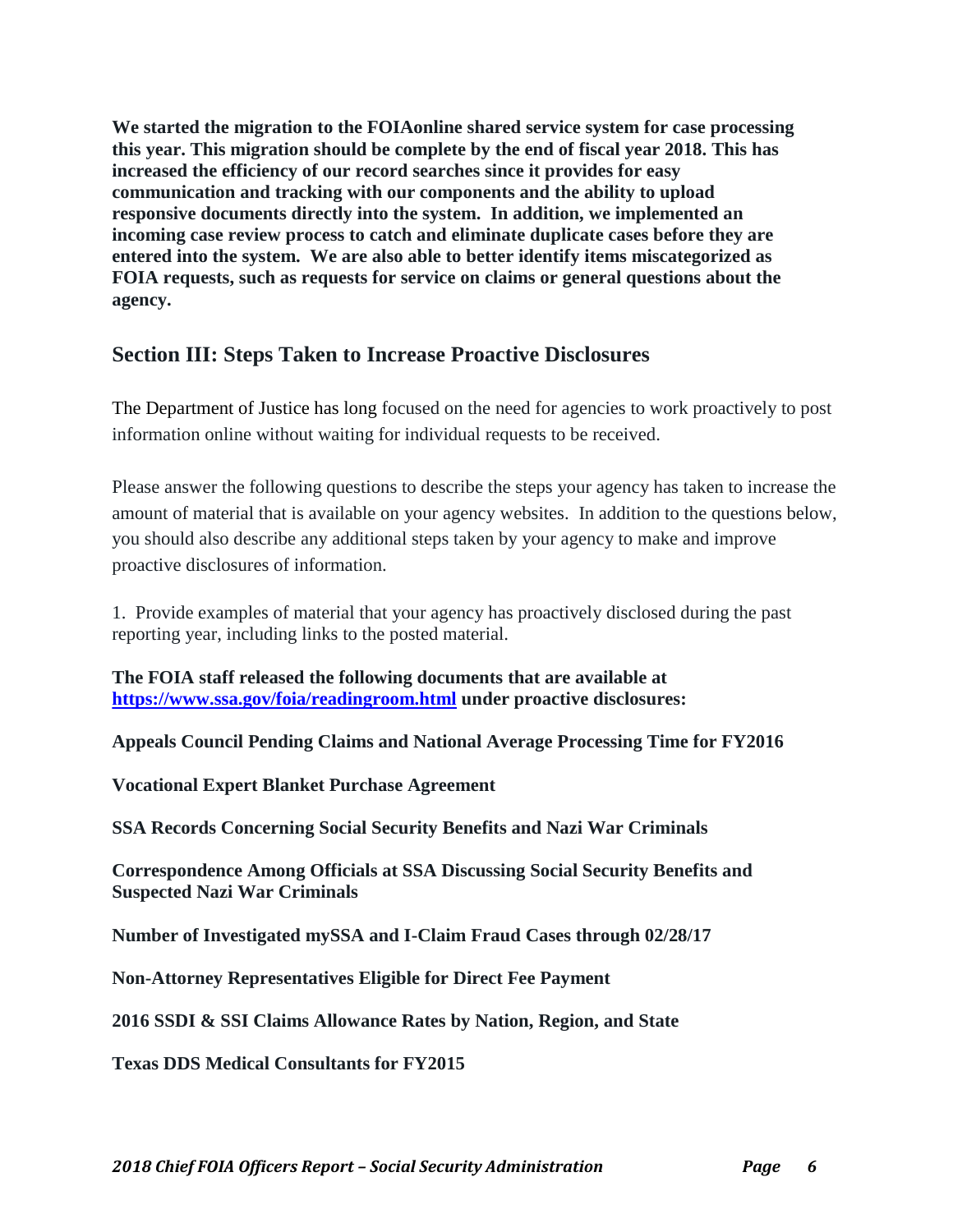**We started the migration to the FOIAonline shared service system for case processing this year. This migration should be complete by the end of fiscal year 2018. This has increased the efficiency of our record searches since it provides for easy communication and tracking with our components and the ability to upload responsive documents directly into the system. In addition, we implemented an incoming case review process to catch and eliminate duplicate cases before they are entered into the system. We are also able to better identify items miscategorized as FOIA requests, such as requests for service on claims or general questions about the agency.**

# **Section III: Steps Taken to Increase Proactive Disclosures**

The Department of Justice has long focused on the need for agencies to work proactively to post information online without waiting for individual requests to be received.

Please answer the following questions to describe the steps your agency has taken to increase the amount of material that is available on your agency websites. In addition to the questions below, you should also describe any additional steps taken by your agency to make and improve proactive disclosures of information.

1. Provide examples of material that your agency has proactively disclosed during the past reporting year, including links to the posted material.

**The FOIA staff released the following documents that are available at <https://www.ssa.gov/foia/readingroom.html> under proactive disclosures:**

**Appeals Council Pending Claims and National Average Processing Time for FY2016**

**Vocational Expert Blanket Purchase Agreement**

**SSA Records Concerning Social Security Benefits and Nazi War Criminals**

**Correspondence Among Officials at SSA Discussing Social Security Benefits and Suspected Nazi War Criminals**

**Number of Investigated mySSA and I-Claim Fraud Cases through 02/28/17**

**Non-Attorney Representatives Eligible for Direct Fee Payment**

**2016 SSDI & SSI Claims Allowance Rates by Nation, Region, and State**

**Texas DDS Medical Consultants for FY2015**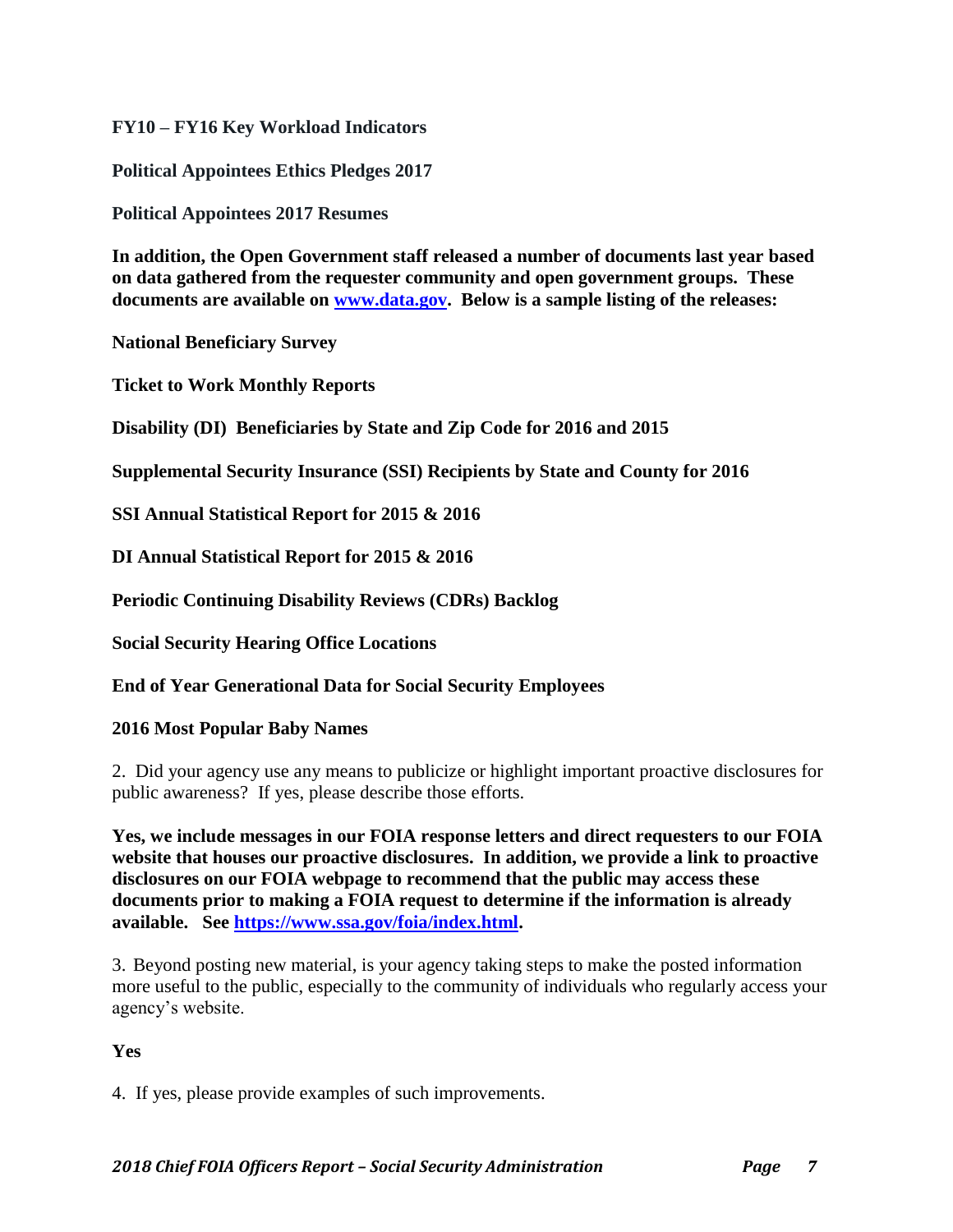### **FY10 – FY16 Key Workload Indicators**

**Political Appointees Ethics Pledges 2017**

**Political Appointees 2017 Resumes**

**In addition, the Open Government staff released a number of documents last year based on data gathered from the requester community and open government groups. These documents are available on [www.data.gov.](http://www.data.gov/) Below is a sample listing of the releases:**

**National Beneficiary Survey**

**Ticket to Work Monthly Reports**

**Disability (DI) Beneficiaries by State and Zip Code for 2016 and 2015**

**Supplemental Security Insurance (SSI) Recipients by State and County for 2016**

**SSI Annual Statistical Report for 2015 & 2016**

**DI Annual Statistical Report for 2015 & 2016**

**Periodic Continuing Disability Reviews (CDRs) Backlog**

**Social Security Hearing Office Locations**

**End of Year Generational Data for Social Security Employees**

#### **2016 Most Popular Baby Names**

2. Did your agency use any means to publicize or highlight important proactive disclosures for public awareness? If yes, please describe those efforts.

**Yes, we include messages in our FOIA response letters and direct requesters to our FOIA website that houses our proactive disclosures. In addition, we provide a link to proactive disclosures on our FOIA webpage to recommend that the public may access these documents prior to making a FOIA request to determine if the information is already available. See [https://www.ssa.gov/foia/index.html.](https://www.ssa.gov/foia/index.html)**

3. Beyond posting new material, is your agency taking steps to make the posted information more useful to the public, especially to the community of individuals who regularly access your agency's website.

### **Yes**

4. If yes, please provide examples of such improvements.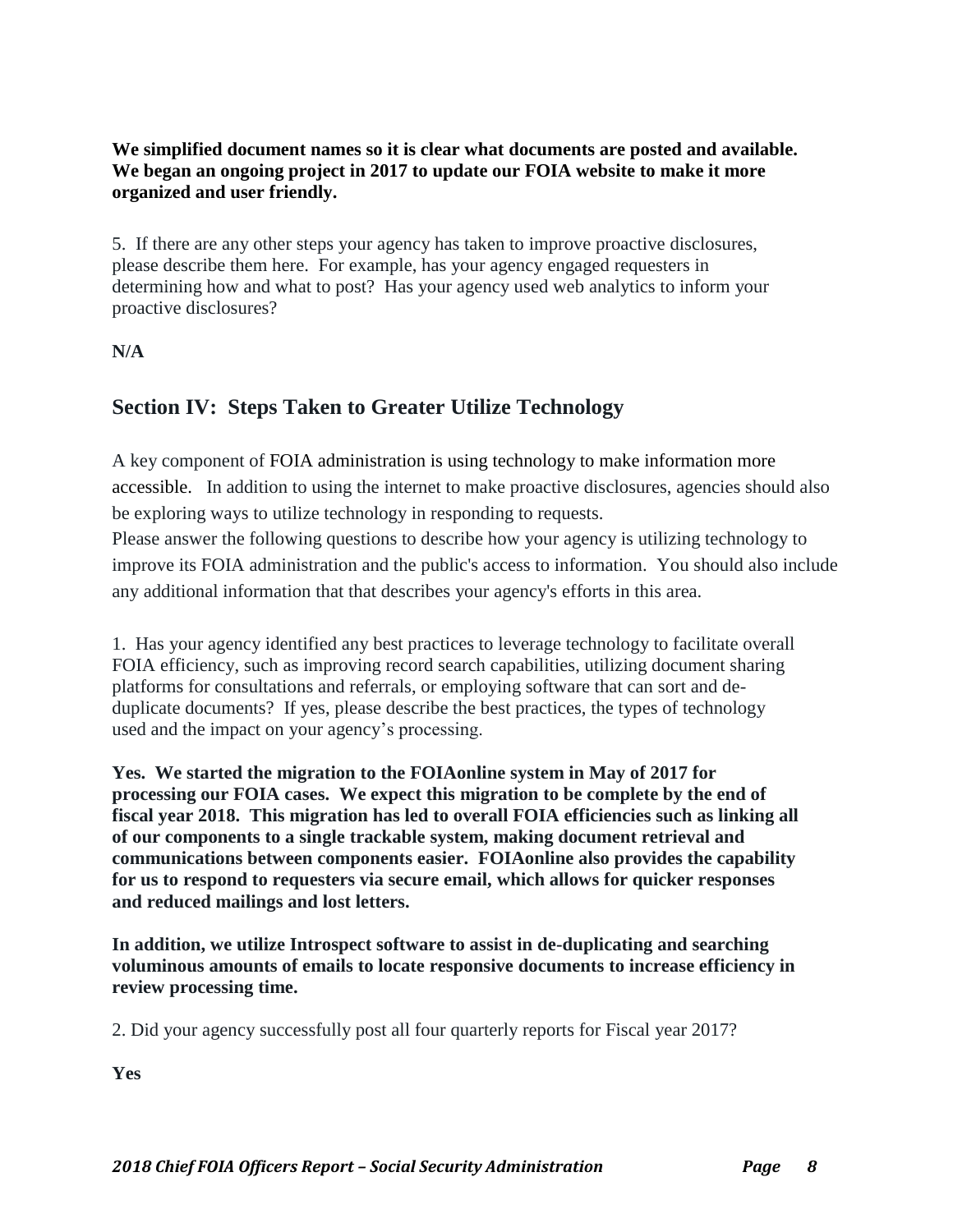## **We simplified document names so it is clear what documents are posted and available. We began an ongoing project in 2017 to update our FOIA website to make it more organized and user friendly.**

5. If there are any other steps your agency has taken to improve proactive disclosures, please describe them here. For example, has your agency engaged requesters in determining how and what to post? Has your agency used web analytics to inform your proactive disclosures?

# **N/A**

# **Section IV: Steps Taken to Greater Utilize Technology**

A key component of [FOIA administration is using technology to make information more](http://www.justice.gov/oip/foia_guide09/presidential-foia.pdf)  [accessible.](http://www.justice.gov/oip/foia_guide09/presidential-foia.pdf) In addition to using the internet to make proactive disclosures, agencies should also be exploring ways to utilize technology in responding to requests.

Please answer the following questions to describe how your agency is utilizing technology to improve its FOIA administration and the public's access to information. You should also include any additional information that that describes your agency's efforts in this area.

1. Has your agency identified any best practices to leverage technology to facilitate overall FOIA efficiency, such as improving record search capabilities, utilizing document sharing platforms for consultations and referrals, or employing software that can sort and deduplicate documents? If yes, please describe the best practices, the types of technology used and the impact on your agency's processing.

**Yes. We started the migration to the FOIAonline system in May of 2017 for processing our FOIA cases. We expect this migration to be complete by the end of fiscal year 2018. This migration has led to overall FOIA efficiencies such as linking all of our components to a single trackable system, making document retrieval and communications between components easier. FOIAonline also provides the capability for us to respond to requesters via secure email, which allows for quicker responses and reduced mailings and lost letters.**

**In addition, we utilize Introspect software to assist in de-duplicating and searching voluminous amounts of emails to locate responsive documents to increase efficiency in review processing time.**

2. Did your agency successfully post all four quarterly reports for Fiscal year 2017?

**Yes**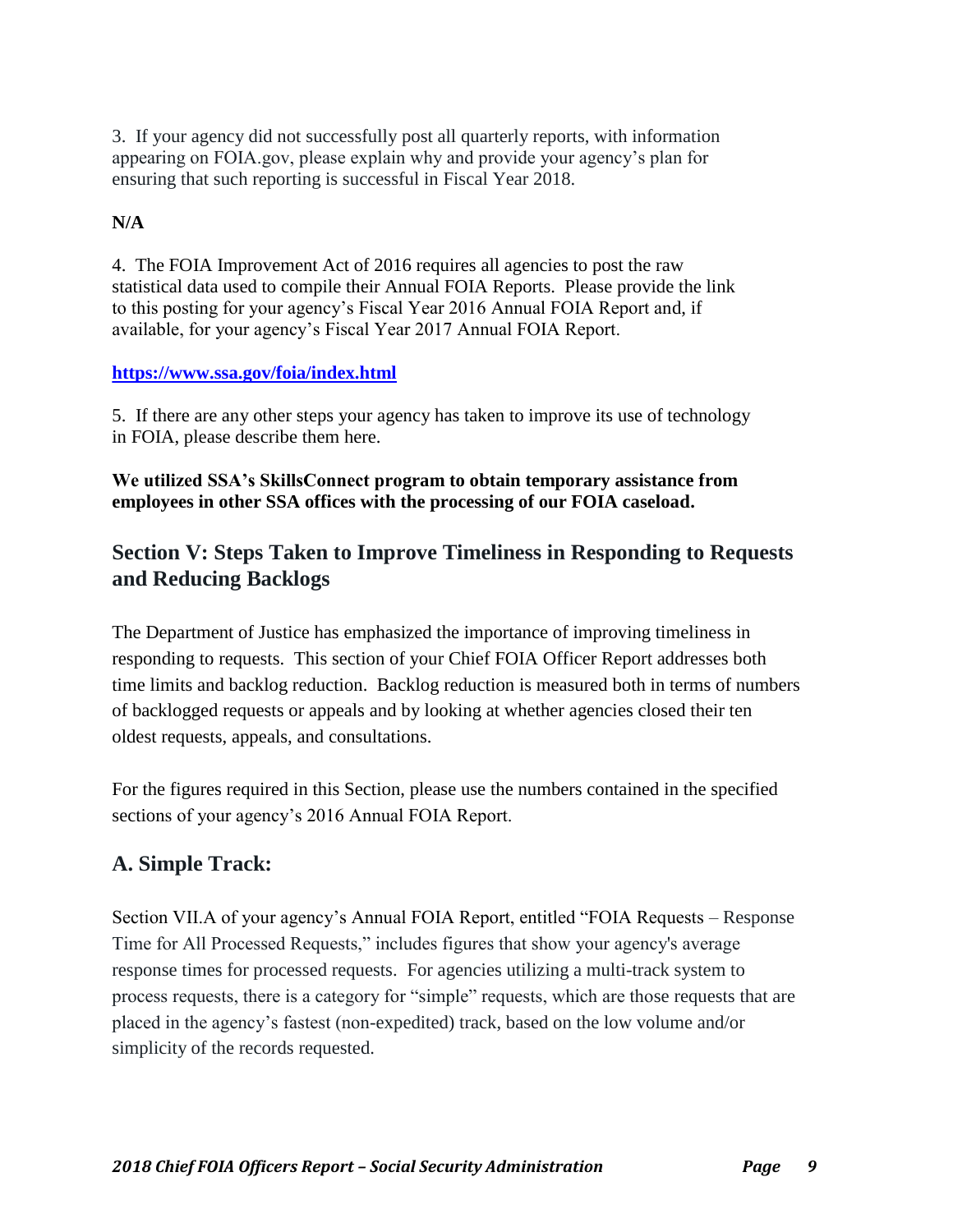3. If your agency did not successfully post all quarterly reports, with information appearing on FOIA.gov, please explain why and provide your agency's plan for ensuring that such reporting is successful in Fiscal Year 2018.

# **N/A**

4. The FOIA Improvement Act of 2016 requires all agencies to post the raw statistical data used to compile their Annual FOIA Reports. Please provide the link to this posting for your agency's Fiscal Year 2016 Annual FOIA Report and, if available, for your agency's Fiscal Year 2017 Annual FOIA Report.

# **<https://www.ssa.gov/foia/index.html>**

5. If there are any other steps your agency has taken to improve its use of technology in FOIA, please describe them here.

## **We utilized SSA's SkillsConnect program to obtain temporary assistance from employees in other SSA offices with the processing of our FOIA caseload.**

# **Section V: Steps Taken to Improve Timeliness in Responding to Requests and Reducing Backlogs**

The Department of Justice has emphasized the importance of improving timeliness in responding to requests. This section of your Chief FOIA Officer Report addresses both time limits and backlog reduction. Backlog reduction is measured both in terms of numbers of backlogged requests or appeals and by looking at whether agencies closed their ten oldest requests, appeals, and consultations.

For the figures required in this Section, please use the numbers contained in the specified sections of your agency's 2016 Annual FOIA Report.

# **A. Simple Track:**

Section VII.A of your agency's Annual FOIA Report, entitled "FOIA Requests – Response Time for All Processed Requests," includes figures that show your agency's average response times for processed requests. For agencies utilizing a multi-track system to process requests, there is a category for "simple" requests, which are those requests that are placed in the agency's fastest (non-expedited) track, based on the low volume and/or simplicity of the records requested.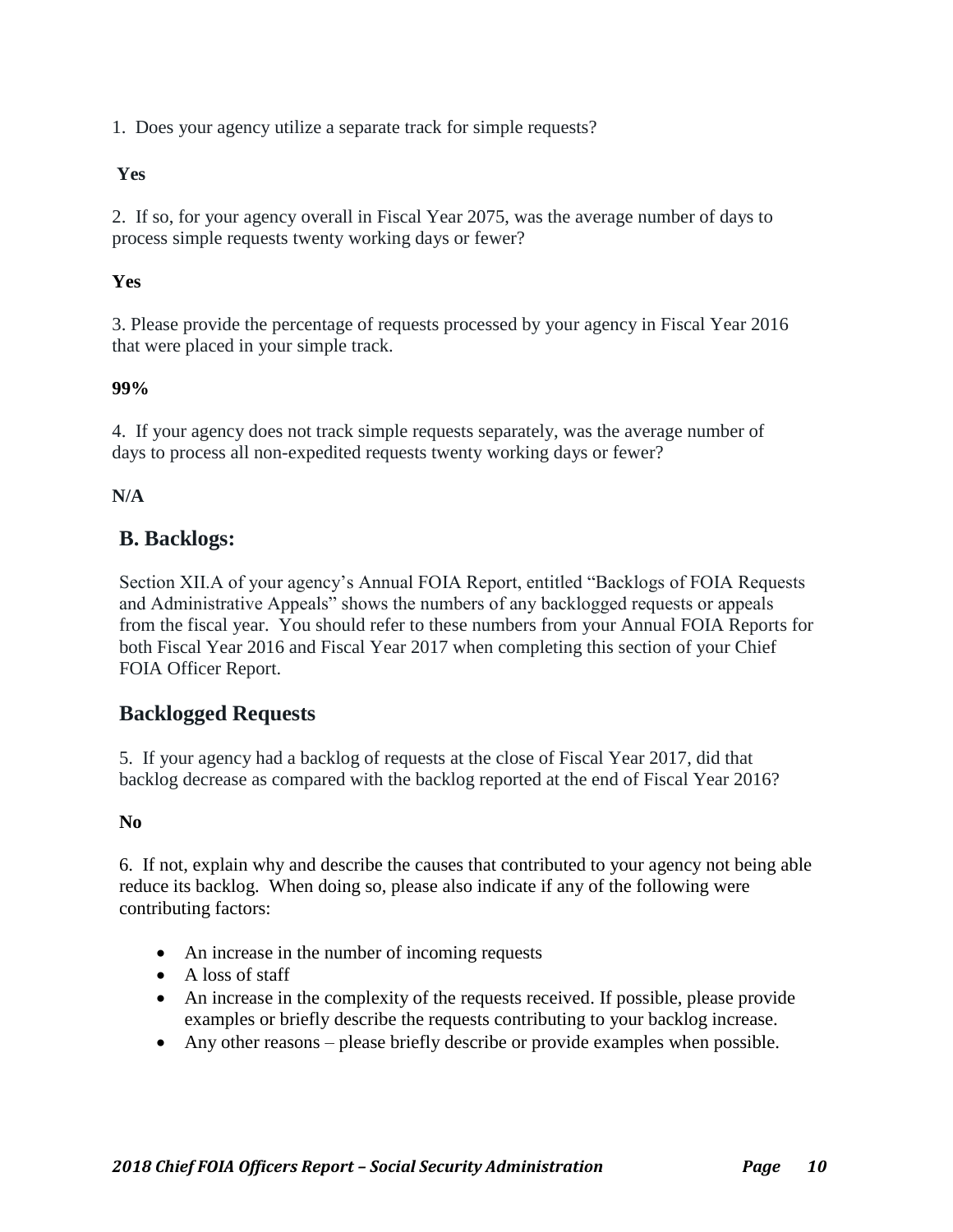1. Does your agency utilize a separate track for simple requests?

### **Yes**

2. If so, for your agency overall in Fiscal Year 2075, was the average number of days to process simple requests twenty working days or fewer?

# **Yes**

3. Please provide the percentage of requests processed by your agency in Fiscal Year 2016 that were placed in your simple track.

# **99%**

4. If your agency does not track simple requests separately, was the average number of days to process all non-expedited requests twenty working days or fewer?

# **N/A**

# **B. Backlogs:**

Section XII.A of your agency's Annual FOIA Report, entitled "Backlogs of FOIA Requests and Administrative Appeals" shows the numbers of any backlogged requests or appeals from the fiscal year. You should refer to these numbers from your Annual FOIA Reports for both Fiscal Year 2016 and Fiscal Year 2017 when completing this section of your Chief FOIA Officer Report.

# **Backlogged Requests**

5. If your agency had a backlog of requests at the close of Fiscal Year 2017, did that backlog decrease as compared with the backlog reported at the end of Fiscal Year 2016?

# **No**

6. If not, explain why and describe the causes that contributed to your agency not being able reduce its backlog. When doing so, please also indicate if any of the following were contributing factors:

- An increase in the number of incoming requests
- A loss of staff
- An increase in the complexity of the requests received. If possible, please provide examples or briefly describe the requests contributing to your backlog increase.
- Any other reasons please briefly describe or provide examples when possible.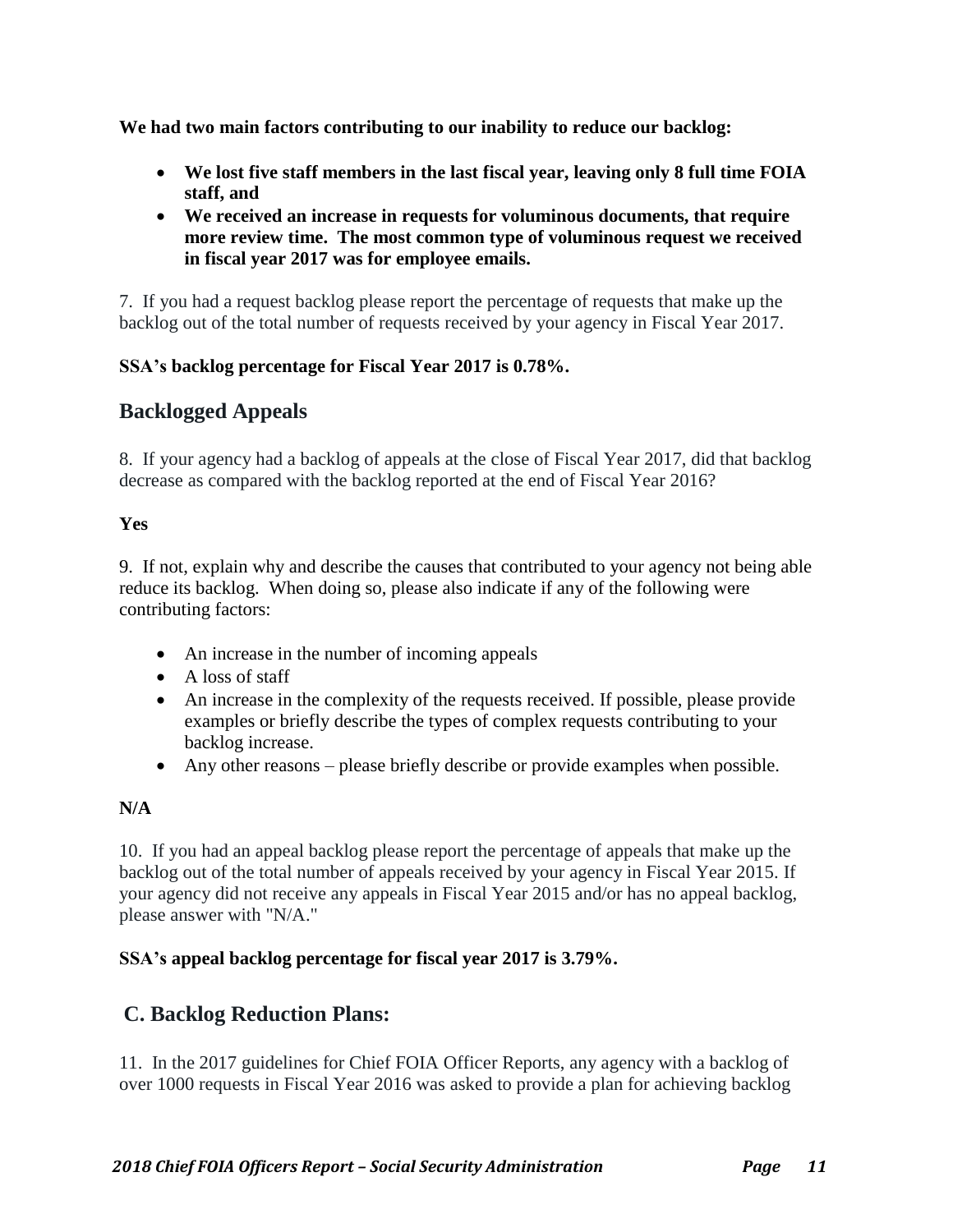**We had two main factors contributing to our inability to reduce our backlog:**

- **We lost five staff members in the last fiscal year, leaving only 8 full time FOIA staff, and**
- **We received an increase in requests for voluminous documents, that require more review time. The most common type of voluminous request we received in fiscal year 2017 was for employee emails.**

7. If you had a request backlog please report the percentage of requests that make up the backlog out of the total number of requests received by your agency in Fiscal Year 2017.

#### **SSA's backlog percentage for Fiscal Year 2017 is 0.78%.**

# **Backlogged Appeals**

8. If your agency had a backlog of appeals at the close of Fiscal Year 2017, did that backlog decrease as compared with the backlog reported at the end of Fiscal Year 2016?

### **Yes**

9. If not, explain why and describe the causes that contributed to your agency not being able reduce its backlog. When doing so, please also indicate if any of the following were contributing factors:

- An increase in the number of incoming appeals
- A loss of staff
- An increase in the complexity of the requests received. If possible, please provide examples or briefly describe the types of complex requests contributing to your backlog increase.
- Any other reasons please briefly describe or provide examples when possible.

# **N/A**

10. If you had an appeal backlog please report the percentage of appeals that make up the backlog out of the total number of appeals received by your agency in Fiscal Year 2015. If your agency did not receive any appeals in Fiscal Year 2015 and/or has no appeal backlog, please answer with "N/A."

### **SSA's appeal backlog percentage for fiscal year 2017 is 3.79%.**

# **C. Backlog Reduction Plans:**

11. In the 2017 guidelines for Chief FOIA Officer Reports, any agency with a backlog of over 1000 requests in Fiscal Year 2016 was asked to provide a plan for achieving backlog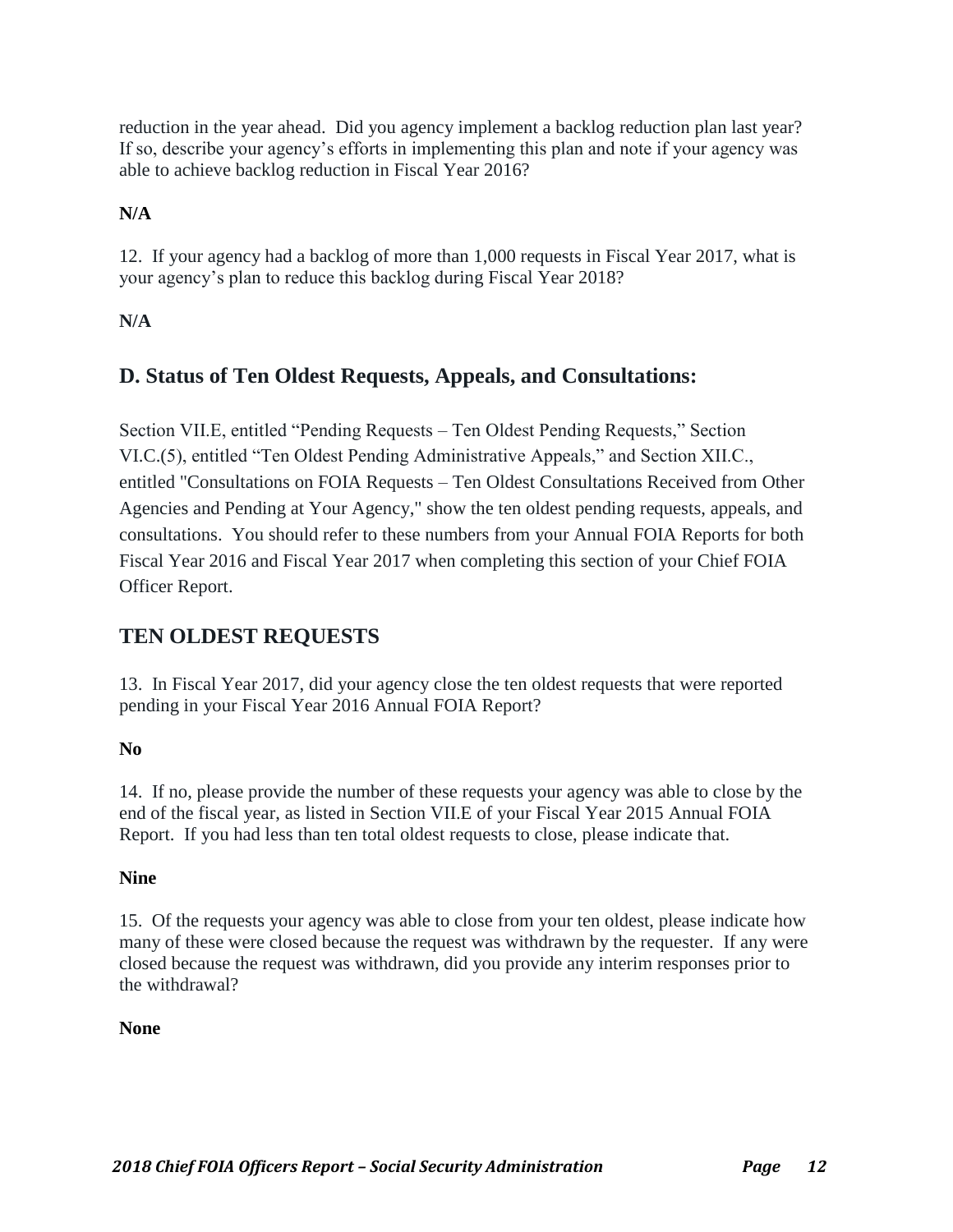reduction in the year ahead. Did you agency implement a backlog reduction plan last year? If so, describe your agency's efforts in implementing this plan and note if your agency was able to achieve backlog reduction in Fiscal Year 2016?

# **N/A**

12. If your agency had a backlog of more than 1,000 requests in Fiscal Year 2017, what is your agency's plan to reduce this backlog during Fiscal Year 2018?

# **N/A**

# **D. Status of Ten Oldest Requests, Appeals, and Consultations:**

Section VII.E, entitled "Pending Requests – Ten Oldest Pending Requests," Section VI.C.(5), entitled "Ten Oldest Pending Administrative Appeals," and Section XII.C., entitled "Consultations on FOIA Requests – Ten Oldest Consultations Received from Other Agencies and Pending at Your Agency," show the ten oldest pending requests, appeals, and consultations. You should refer to these numbers from your Annual FOIA Reports for both Fiscal Year 2016 and Fiscal Year 2017 when completing this section of your Chief FOIA Officer Report.

# **TEN OLDEST REQUESTS**

13. In Fiscal Year 2017, did your agency close the ten oldest requests that were reported pending in your Fiscal Year 2016 Annual FOIA Report?

# **No**

14. If no, please provide the number of these requests your agency was able to close by the end of the fiscal year, as listed in Section VII.E of your Fiscal Year 2015 Annual FOIA Report. If you had less than ten total oldest requests to close, please indicate that.

### **Nine**

15. Of the requests your agency was able to close from your ten oldest, please indicate how many of these were closed because the request was withdrawn by the requester. If any were closed because the request was withdrawn, did you provide any interim responses prior to the withdrawal?

### **None**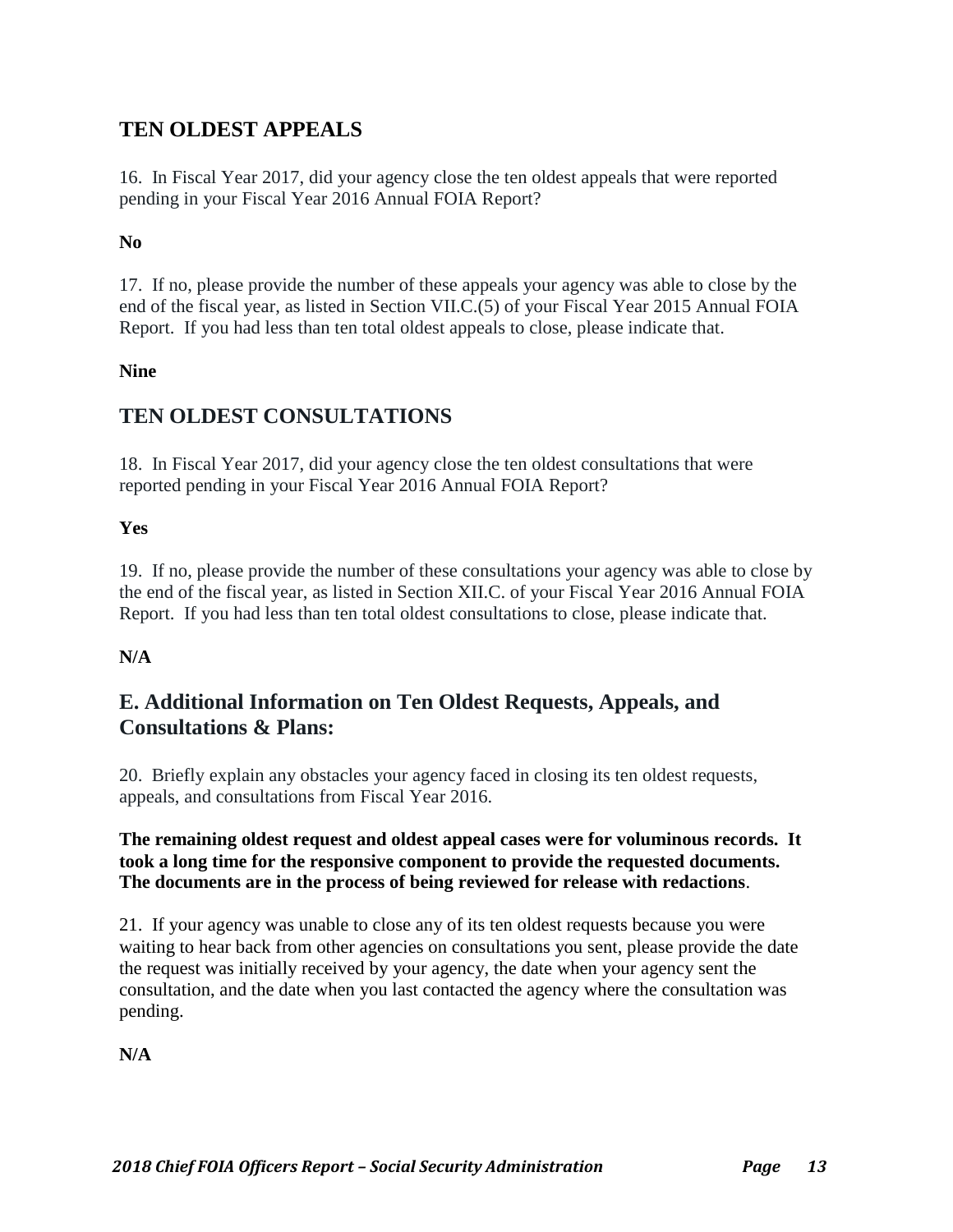# **TEN OLDEST APPEALS**

16. In Fiscal Year 2017, did your agency close the ten oldest appeals that were reported pending in your Fiscal Year 2016 Annual FOIA Report?

#### **No**

17. If no, please provide the number of these appeals your agency was able to close by the end of the fiscal year, as listed in Section VII.C.(5) of your Fiscal Year 2015 Annual FOIA Report. If you had less than ten total oldest appeals to close, please indicate that.

#### **Nine**

# **TEN OLDEST CONSULTATIONS**

18. In Fiscal Year 2017, did your agency close the ten oldest consultations that were reported pending in your Fiscal Year 2016 Annual FOIA Report?

#### **Yes**

19. If no, please provide the number of these consultations your agency was able to close by the end of the fiscal year, as listed in Section XII.C. of your Fiscal Year 2016 Annual FOIA Report. If you had less than ten total oldest consultations to close, please indicate that.

### **N/A**

# **E. Additional Information on Ten Oldest Requests, Appeals, and Consultations & Plans:**

20. Briefly explain any obstacles your agency faced in closing its ten oldest requests, appeals, and consultations from Fiscal Year 2016.

#### **The remaining oldest request and oldest appeal cases were for voluminous records. It took a long time for the responsive component to provide the requested documents. The documents are in the process of being reviewed for release with redactions**.

21. If your agency was unable to close any of its ten oldest requests because you were waiting to hear back from other agencies on consultations you sent, please provide the date the request was initially received by your agency, the date when your agency sent the consultation, and the date when you last contacted the agency where the consultation was pending.

**N/A**